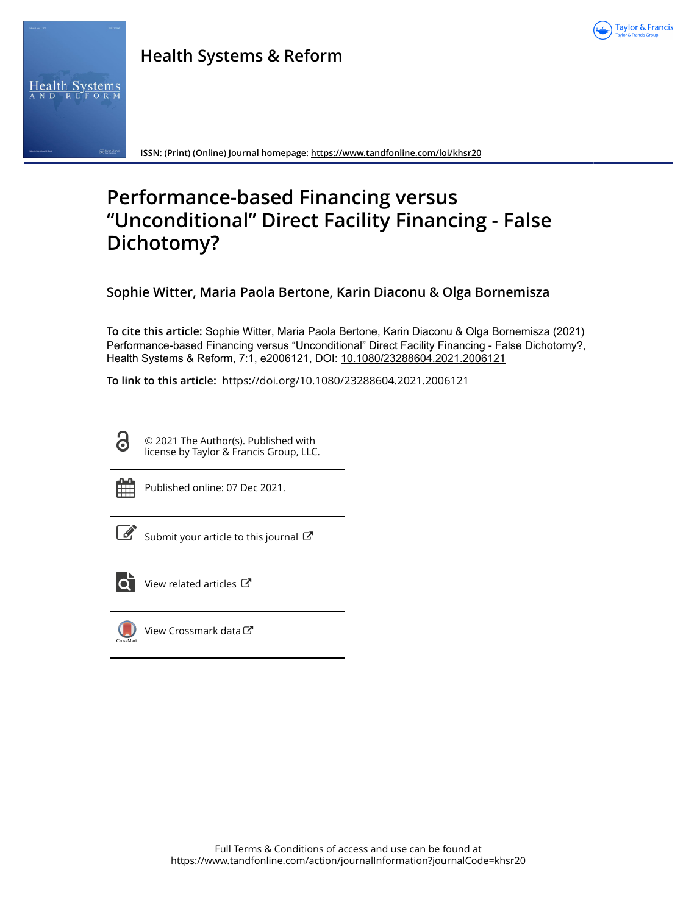

# **Health Systems & Reform**



**ISSN: (Print) (Online) Journal homepage:<https://www.tandfonline.com/loi/khsr20>**

# **Performance-based Financing versus "Unconditional" Direct Facility Financing - False Dichotomy?**

**Sophie Witter, Maria Paola Bertone, Karin Diaconu & Olga Bornemisza**

**To cite this article:** Sophie Witter, Maria Paola Bertone, Karin Diaconu & Olga Bornemisza (2021) Performance-based Financing versus "Unconditional" Direct Facility Financing - False Dichotomy?, Health Systems & Reform, 7:1, e2006121, DOI: [10.1080/23288604.2021.2006121](https://www.tandfonline.com/action/showCitFormats?doi=10.1080/23288604.2021.2006121)

**To link to this article:** <https://doi.org/10.1080/23288604.2021.2006121>

© 2021 The Author(s). Published with license by Taylor & Francis Group, LLC.



 $\bf \bar{O}$ 

Published online: 07 Dec 2021.

[Submit your article to this journal](https://www.tandfonline.com/action/authorSubmission?journalCode=khsr20&show=instructions)  $\mathbb{Z}$ 



 $\overrightarrow{Q}$  [View related articles](https://www.tandfonline.com/doi/mlt/10.1080/23288604.2021.2006121)  $\overrightarrow{C}$ 



[View Crossmark data](http://crossmark.crossref.org/dialog/?doi=10.1080/23288604.2021.2006121&domain=pdf&date_stamp=2021-12-07)<sup>√</sup>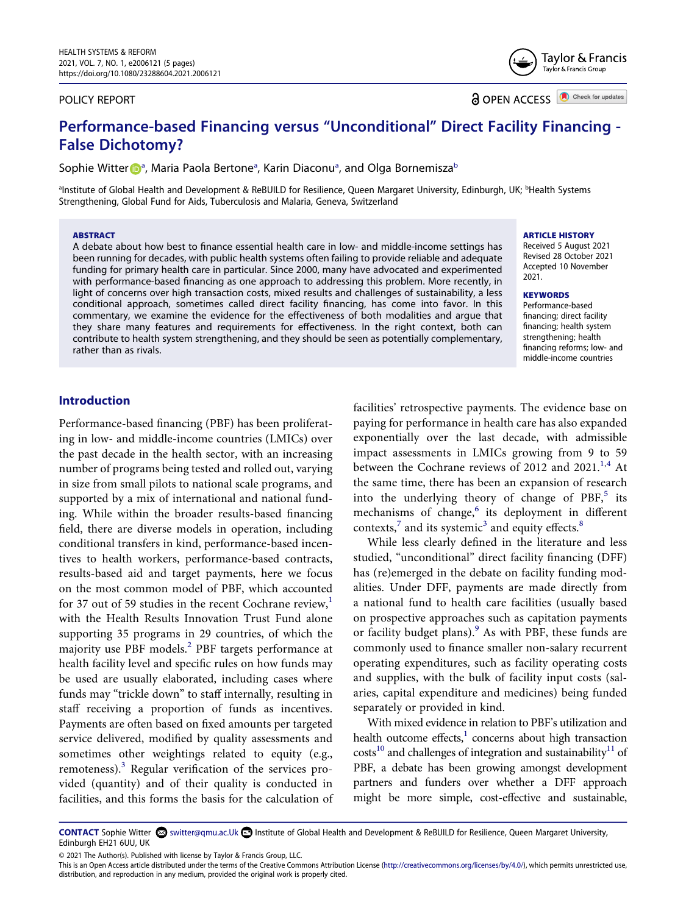#### POLICY REPORT

**a** OPEN ACCESS **D** Check for updates

Taylor & Francis Taylor & Francis Group

# **Performance-based Financing versus "Unconditional" Direct Facility Financing - False Dichotomy?**

Sophie Witte[r](http://orcid.org/0000-0002-7656-6188) D<sup>[a](#page-1-0)</sup>, Maria Paola Bertone<sup>a</sup>, Karin Diaconu<sup>a</sup>, and Olga Bornemisza<sup>[b](#page-1-0)</sup>

<span id="page-1-0"></span>ªInstitute of Global Health and Development & ReBUILD for Resilience, Queen Margaret University, Edinburgh, UK; <sup>ь</sup>Health Systems Strengthening, Global Fund for Aids, Tuberculosis and Malaria, Geneva, Switzerland

#### **ABSTRACT**

A debate about how best to finance essential health care in low- and middle-income settings has been running for decades, with public health systems often failing to provide reliable and adequate funding for primary health care in particular. Since 2000, many have advocated and experimented with performance-based financing as one approach to addressing this problem. More recently, in light of concerns over high transaction costs, mixed results and challenges of sustainability, a less conditional approach, sometimes called direct facility financing, has come into favor. In this commentary, we examine the evidence for the effectiveness of both modalities and argue that they share many features and requirements for effectiveness. In the right context, both can contribute to health system strengthening, and they should be seen as potentially complementary, rather than as rivals.

#### **ARTICLE HISTORY**

Received 5 August 2021 Revised 28 October 2021 Accepted 10 November 2021.

#### **KEYWORDS**

Performance-based financing; direct facility financing; health system strengthening; health financing reforms; low- and middle-income countries

#### **Introduction**

Performance-based financing (PBF) has been proliferating in low- and middle-income countries (LMICs) over the past decade in the health sector, with an increasing number of programs being tested and rolled out, varying in size from small pilots to national scale programs, and supported by a mix of international and national funding. While within the broader results-based financing field, there are diverse models in operation, including conditional transfers in kind, performance-based incentives to health workers, performance-based contracts, results-based aid and target payments, here we focus on the most common model of PBF, which accounted for 37 out of 59 studies in the recent Cochrane review, $<sup>1</sup>$ </sup> with the Health Results Innovation Trust Fund alone supporting 35 programs in 29 countries, of which the majority use PBF models.<sup>2</sup> PBF targets performance at health facility level and specific rules on how funds may be used are usually elaborated, including cases where funds may "trickle down" to staff internally, resulting in staff receiving a proportion of funds as incentives. Payments are often based on fixed amounts per targeted service delivered, modified by quality assessments and sometimes other weightings related to equity (e.g., remoteness).<sup>3</sup> Regular verification of the services provided (quantity) and of their quality is conducted in facilities, and this forms the basis for the calculation of

<span id="page-1-3"></span>facilities' retrospective payments. The evidence base on paying for performance in health care has also expanded exponentially over the last decade, with admissible impact assessments in LMICs growing from 9 to 59 between the Cochrane reviews of 20[1](#page-4-0)2 and 2021.<sup>1,4</sup> At the same time, there has been an expansion of research into the underlying theory of change of  $PBF$ ,<sup>5</sup> its mechanisms of change, $6$  its deployment in different contexts, $\frac{7}{1}$  $\frac{7}{1}$  $\frac{7}{1}$  and its systemic<sup>3</sup> and equity effects.<sup>8</sup>

<span id="page-1-6"></span><span id="page-1-5"></span><span id="page-1-4"></span><span id="page-1-2"></span>While less clearly defined in the literature and less studied, "unconditional" direct facility financing (DFF) has (re)emerged in the debate on facility funding modalities. Under DFF, payments are made directly from a national fund to health care facilities (usually based on prospective approaches such as capitation payments or facility budget plans). $9$  As with PBF, these funds are commonly used to finance smaller non-salary recurrent operating expenditures, such as facility operating costs and supplies, with the bulk of facility input costs (salaries, capital expenditure and medicines) being funded separately or provided in kind.

<span id="page-1-7"></span><span id="page-1-1"></span>With mixed evidence in relation to PBF's utilization and health outcome effects, $<sup>1</sup>$  concerns about high transaction</sup>  $costs<sup>10</sup>$  and challenges of integration and sustainability<sup>11</sup> of PBF, a debate has been growing amongst development partners and funders over whether a DFF approach might be more simple, cost-effective and sustainable,

CONTACT Sophie Witter switter@qmu.ac.Uk **Institute of Global Health and Development & ReBUILD for Resilience, Queen Margaret University,** Edinburgh EH21 6UU, UK

© 2021 The Author(s). Published with license by Taylor & Francis Group, LLC.

This is an Open Access article distributed under the terms of the Creative Commons Attribution License (http://creativecommons.org/licenses/by/4.0/), which permits unrestricted use, distribution, and reproduction in any medium, provided the original work is properly cited.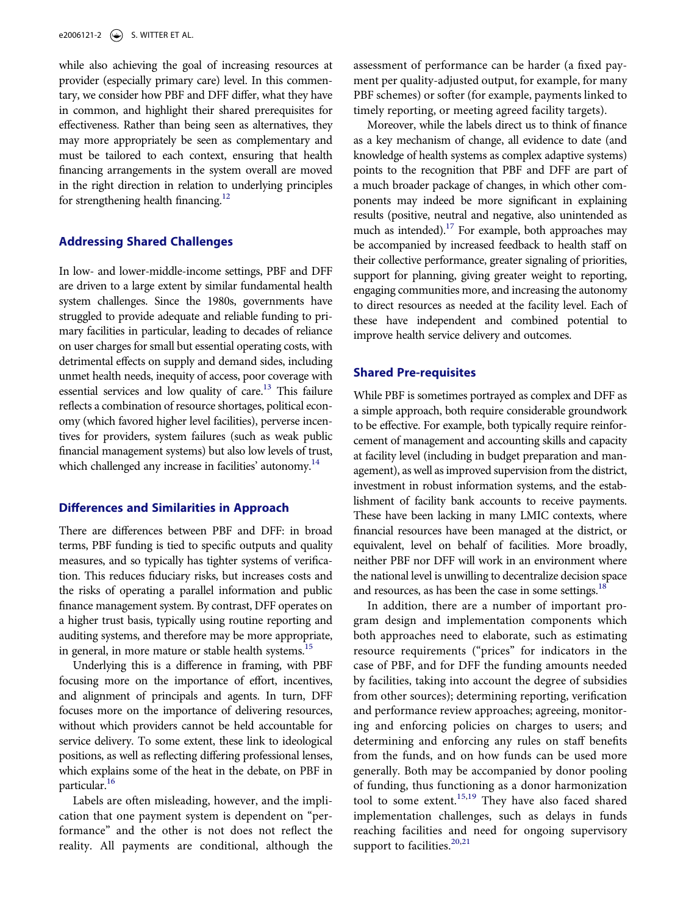while also achieving the goal of increasing resources at provider (especially primary care) level. In this commentary, we consider how PBF and DFF differ, what they have in common, and highlight their shared prerequisites for effectiveness. Rather than being seen as alternatives, they may more appropriately be seen as complementary and must be tailored to each context, ensuring that health financing arrangements in the system overall are moved in the right direction in relation to underlying principles for strengthening health financing. $12$ 

#### <span id="page-2-0"></span>**Addressing Shared Challenges**

<span id="page-2-1"></span>In low- and lower-middle-income settings, PBF and DFF are driven to a large extent by similar fundamental health system challenges. Since the 1980s, governments have struggled to provide adequate and reliable funding to primary facilities in particular, leading to decades of reliance on user charges for small but essential operating costs, with detrimental effects on supply and demand sides, including unmet health needs, inequity of access, poor coverage with essential services and low quality of care.<sup>13</sup> This failure reflects a combination of resource shortages, political economy (which favored higher level facilities), perverse incentives for providers, system failures (such as weak public financial management systems) but also low levels of trust, which challenged any increase in facilities' autonomy.<sup>14</sup>

#### <span id="page-2-2"></span>**Differences and Similarities in Approach**

There are differences between PBF and DFF: in broad terms, PBF funding is tied to specific outputs and quality measures, and so typically has tighter systems of verification. This reduces fiduciary risks, but increases costs and the risks of operating a parallel information and public finance management system. By contrast, DFF operates on a higher trust basis, typically using routine reporting and auditing systems, and therefore may be more appropriate, in general, in more mature or stable health systems.<sup>[15](#page-5-4)</sup>

Underlying this is a difference in framing, with PBF focusing more on the importance of effort, incentives, and alignment of principals and agents. In turn, DFF focuses more on the importance of delivering resources, without which providers cannot be held accountable for service delivery. To some extent, these link to ideological positions, as well as reflecting differing professional lenses, which explains some of the heat in the debate, on PBF in particular.<sup>16</sup>

<span id="page-2-4"></span>Labels are often misleading, however, and the implication that one payment system is dependent on "performance" and the other is not does not reflect the reality. All payments are conditional, although the assessment of performance can be harder (a fixed payment per quality-adjusted output, for example, for many PBF schemes) or softer (for example, payments linked to timely reporting, or meeting agreed facility targets).

<span id="page-2-5"></span>Moreover, while the labels direct us to think of finance as a key mechanism of change, all evidence to date (and knowledge of health systems as complex adaptive systems) points to the recognition that PBF and DFF are part of a much broader package of changes, in which other components may indeed be more significant in explaining results (positive, neutral and negative, also unintended as much as intended).<sup>17</sup> For example, both approaches may be accompanied by increased feedback to health staff on their collective performance, greater signaling of priorities, support for planning, giving greater weight to reporting, engaging communities more, and increasing the autonomy to direct resources as needed at the facility level. Each of these have independent and combined potential to improve health service delivery and outcomes.

#### **Shared Pre-requisites**

While PBF is sometimes portrayed as complex and DFF as a simple approach, both require considerable groundwork to be effective. For example, both typically require reinforcement of management and accounting skills and capacity at facility level (including in budget preparation and management), as well as improved supervision from the district, investment in robust information systems, and the establishment of facility bank accounts to receive payments. These have been lacking in many LMIC contexts, where financial resources have been managed at the district, or equivalent, level on behalf of facilities. More broadly, neither PBF nor DFF will work in an environment where the national level is unwilling to decentralize decision space and resources, as has been the case in some settings.<sup>18</sup>

<span id="page-2-7"></span><span id="page-2-6"></span><span id="page-2-3"></span>In addition, there are a number of important program design and implementation components which both approaches need to elaborate, such as estimating resource requirements ("prices" for indicators in the case of PBF, and for DFF the funding amounts needed by facilities, taking into account the degree of subsidies from other sources); determining reporting, verification and performance review approaches; agreeing, monitoring and enforcing policies on charges to users; and determining and enforcing any rules on staff benefits from the funds, and on how funds can be used more generally. Both may be accompanied by donor pooling of funding, thus functioning as a donor harmonization tool to some extent.<sup>[15](#page-5-4),[19](#page-5-8)</sup> They have also faced shared implementation challenges, such as delays in funds reaching facilities and need for ongoing supervisory support to facilities.<sup>[20](#page-5-9),[21](#page-5-10)</sup>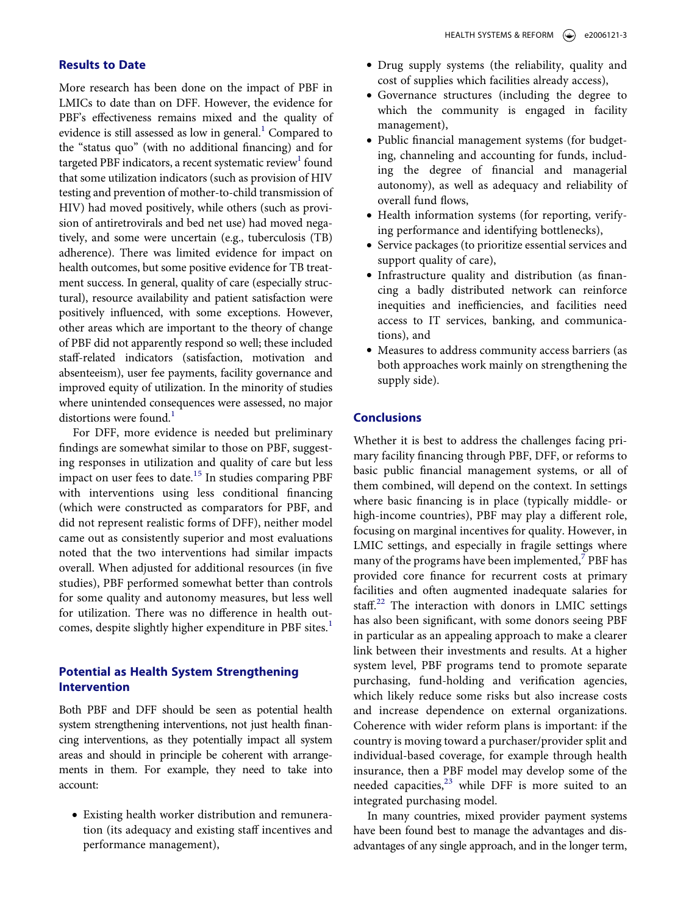#### **Results to Date**

More research has been done on the impact of PBF in LMICs to date than on DFF. However, the evidence for PBF's effectiveness remains mixed and the quality of evidence is still assessed as low in general.<sup>1</sup> Compared to the "status quo" (with no additional financing) and for targeted PBF indicators, a recent systematic review<sup>1</sup> found that some utilization indicators (such as provision of HIV testing and prevention of mother-to-child transmission of HIV) had moved positively, while others (such as provision of antiretrovirals and bed net use) had moved negatively, and some were uncertain (e.g., tuberculosis (TB) adherence). There was limited evidence for impact on health outcomes, but some positive evidence for TB treatment success. In general, quality of care (especially structural), resource availability and patient satisfaction were positively influenced, with some exceptions. However, other areas which are important to the theory of change of PBF did not apparently respond so well; these included staff-related indicators (satisfaction, motivation and absenteeism), user fee payments, facility governance and improved equity of utilization. In the minority of studies where unintended consequences were assessed, no major distortions were found.<sup>[1](#page-4-0)</sup>

For DFF, more evidence is needed but preliminary findings are somewhat similar to those on PBF, suggesting responses in utilization and quality of care but less impact on user fees to date.<sup>15</sup> In studies comparing PBF with interventions using less conditional financing (which were constructed as comparators for PBF, and did not represent realistic forms of DFF), neither model came out as consistently superior and most evaluations noted that the two interventions had similar impacts overall. When adjusted for additional resources (in five studies), PBF performed somewhat better than controls for some quality and autonomy measures, but less well for utilization. There was no difference in health out-comes, despite slightly higher expenditure in PBF sites.<sup>[1](#page-4-0)</sup>

# **Potential as Health System Strengthening Intervention**

Both PBF and DFF should be seen as potential health system strengthening interventions, not just health financing interventions, as they potentially impact all system areas and should in principle be coherent with arrangements in them. For example, they need to take into account:

• Existing health worker distribution and remuneration (its adequacy and existing staff incentives and performance management),

- Drug supply systems (the reliability, quality and cost of supplies which facilities already access),
- Governance structures (including the degree to which the community is engaged in facility management),
- Public financial management systems (for budgeting, channeling and accounting for funds, including the degree of financial and managerial autonomy), as well as adequacy and reliability of overall fund flows,
- Health information systems (for reporting, verifying performance and identifying bottlenecks),
- Service packages (to prioritize essential services and support quality of care),
- Infrastructure quality and distribution (as financing a badly distributed network can reinforce inequities and inefficiencies, and facilities need access to IT services, banking, and communications), and
- Measures to address community access barriers (as both approaches work mainly on strengthening the supply side).

## **Conclusions**

<span id="page-3-0"></span>Whether it is best to address the challenges facing primary facility financing through PBF, DFF, or reforms to basic public financial management systems, or all of them combined, will depend on the context. In settings where basic financing is in place (typically middle- or high-income countries), PBF may play a different role, focusing on marginal incentives for quality. However, in LMIC settings, and especially in fragile settings where many of the programs have been implemented, $<sup>7</sup>$  PBF has</sup> provided core finance for recurrent costs at primary facilities and often augmented inadequate salaries for staff.<sup>22</sup> The interaction with donors in LMIC settings has also been significant, with some donors seeing PBF in particular as an appealing approach to make a clearer link between their investments and results. At a higher system level, PBF programs tend to promote separate purchasing, fund-holding and verification agencies, which likely reduce some risks but also increase costs and increase dependence on external organizations. Coherence with wider reform plans is important: if the country is moving toward a purchaser/provider split and individual-based coverage, for example through health insurance, then a PBF model may develop some of the needed capacities, $23$  while DFF is more suited to an integrated purchasing model.

In many countries, mixed provider payment systems have been found best to manage the advantages and disadvantages of any single approach, and in the longer term,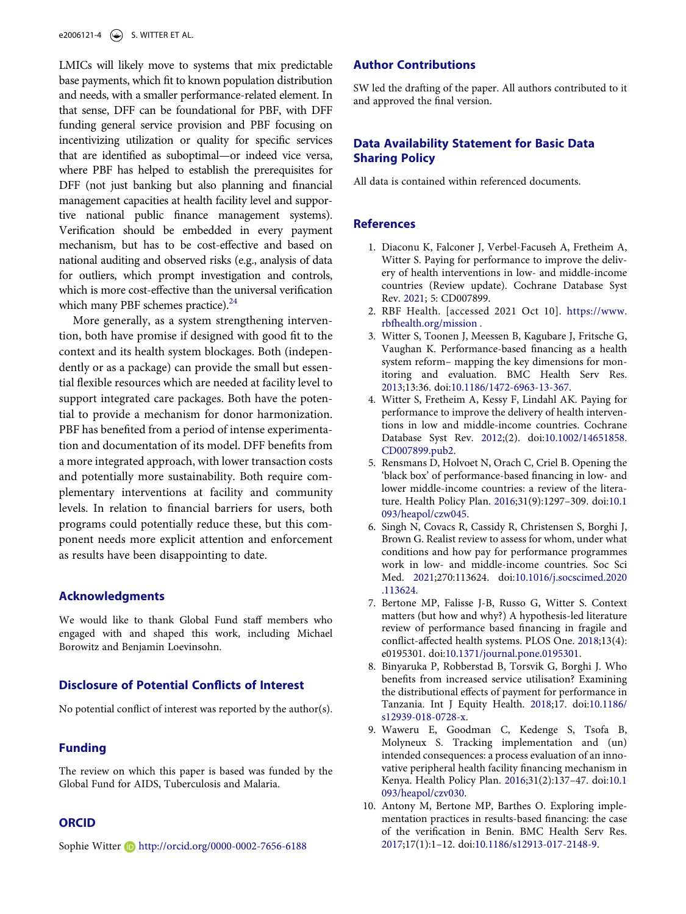LMICs will likely move to systems that mix predictable base payments, which fit to known population distribution and needs, with a smaller performance-related element. In that sense, DFF can be foundational for PBF, with DFF funding general service provision and PBF focusing on incentivizing utilization or quality for specific services that are identified as suboptimal—or indeed vice versa, where PBF has helped to establish the prerequisites for DFF (not just banking but also planning and financial management capacities at health facility level and supportive national public finance management systems). Verification should be embedded in every payment mechanism, but has to be cost-effective and based on national auditing and observed risks (e.g., analysis of data for outliers, which prompt investigation and controls, which is more cost-effective than the universal verification which many PBF schemes practice). $^{24}$ 

More generally, as a system strengthening intervention, both have promise if designed with good fit to the context and its health system blockages. Both (independently or as a package) can provide the small but essential flexible resources which are needed at facility level to support integrated care packages. Both have the potential to provide a mechanism for donor harmonization. PBF has benefited from a period of intense experimentation and documentation of its model. DFF benefits from a more integrated approach, with lower transaction costs and potentially more sustainability. Both require complementary interventions at facility and community levels. In relation to financial barriers for users, both programs could potentially reduce these, but this component needs more explicit attention and enforcement as results have been disappointing to date.

#### **Acknowledgments**

We would like to thank Global Fund staff members who engaged with and shaped this work, including Michael Borowitz and Benjamin Loevinsohn.

#### **Disclosure of Potential Conflicts of Interest**

No potential conflict of interest was reported by the author(s).

### **Funding**

The review on which this paper is based was funded by the Global Fund for AIDS, Tuberculosis and Malaria.

#### **ORCID**

Sophie Witter **b** http://orcid.org/0000-0002-7656-6188

#### **Author Contributions**

SW led the drafting of the paper. All authors contributed to it and approved the final version.

### **Data Availability Statement for Basic Data Sharing Policy**

All data is contained within referenced documents.

#### **References**

- <span id="page-4-0"></span>1. Diaconu K, Falconer J, Verbel-Facuseh A, Fretheim A, Witter S. Paying for performance to improve the delivery of health interventions in low- and middle-income countries (Review update). Cochrane Database Syst Rev. [2021;](#page-1-1) 5: CD007899.
- <span id="page-4-1"></span>2. RBF Health. [accessed 2021 Oct 10]. [https://www.](https://www.rbfhealth.org/mission) [rbfhealth.org/mission](https://www.rbfhealth.org/mission) .
- <span id="page-4-2"></span>3. Witter S, Toonen J, Meessen B, Kagubare J, Fritsche G, Vaughan K. Performance-based financing as a health system reform– mapping the key dimensions for monitoring and evaluation. BMC Health Serv Res. [2013;](#page-1-2)13:36. doi:[10.1186/1472-6963-13-367.](https://doi.org/10.1186/1472-6963-13-367)
- <span id="page-4-3"></span>4. Witter S, Fretheim A, Kessy F, Lindahl AK. Paying for performance to improve the delivery of health interventions in low and middle-income countries. Cochrane Database Syst Rev. [2012;](#page-1-3)(2). doi:[10.1002/14651858.](https://doi.org/10.1002/14651858.CD007899.pub2) [CD007899.pub2.](https://doi.org/10.1002/14651858.CD007899.pub2)
- <span id="page-4-4"></span>5. Rensmans D, Holvoet N, Orach C, Criel B. Opening the 'black box' of performance-based financing in low- and lower middle-income countries: a review of the literature. Health Policy Plan. [2016](#page-1-4);31(9):1297–309. doi:[10.1](https://doi.org/10.1093/heapol/czw045)  [093/heapol/czw045](https://doi.org/10.1093/heapol/czw045).
- <span id="page-4-5"></span>6. Singh N, Covacs R, Cassidy R, Christensen S, Borghi J, Brown G. Realist review to assess for whom, under what conditions and how pay for performance programmes work in low- and middle-income countries. Soc Sci Med. [2021](#page-1-5);270:113624. doi:[10.1016/j.socscimed.2020](https://doi.org/10.1016/j.socscimed.2020.113624)  [.113624.](https://doi.org/10.1016/j.socscimed.2020.113624)
- <span id="page-4-6"></span>7. Bertone MP, Falisse J-B, Russo G, Witter S. Context matters (but how and why?) A hypothesis-led literature review of performance based financing in fragile and conflict-affected health systems. PLOS One. [2018](#page-1-2);13(4): e0195301. doi:[10.1371/journal.pone.0195301](https://doi.org/10.1371/journal.pone.0195301).
- <span id="page-4-7"></span>8. Binyaruka P, Robberstad B, Torsvik G, Borghi J. Who benefits from increased service utilisation? Examining the distributional effects of payment for performance in Tanzania. Int J Equity Health. [2018;](#page-1-2)17. doi:[10.1186/](https://doi.org/10.1186/s12939-018-0728-x)  [s12939-018-0728-x](https://doi.org/10.1186/s12939-018-0728-x).
- <span id="page-4-8"></span>9. Waweru E, Goodman C, Kedenge S, Tsofa B, Molyneux S. Tracking implementation and (un) intended consequences: a process evaluation of an innovative peripheral health facility financing mechanism in Kenya. Health Policy Plan. [2016](#page-1-6);31(2):137–47. doi:[10.1](https://doi.org/10.1093/heapol/czv030)  [093/heapol/czv030.](https://doi.org/10.1093/heapol/czv030)
- <span id="page-4-9"></span>10. Antony M, Bertone MP, Barthes O. Exploring implementation practices in results-based financing: the case of the verification in Benin. BMC Health Serv Res. [2017;](#page-1-7)17(1):1–12. doi:[10.1186/s12913-017-2148-9.](https://doi.org/10.1186/s12913-017-2148-9)